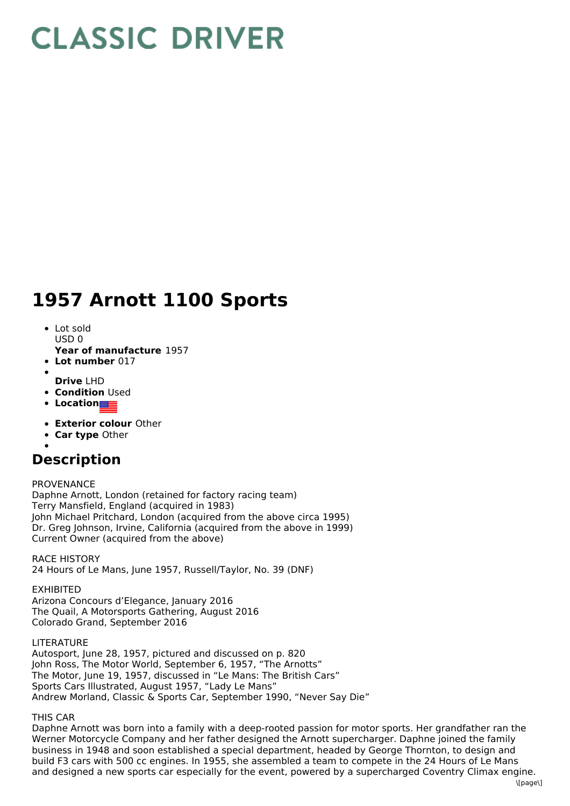## **CLASSIC DRIVER**

## **1957 Arnott 1100 Sports**

- Lot sold USD 0
- **Year of manufacture** 1957
- **Lot number** 017
- 
- **Drive** LHD **• Condition Used**
- **Location**
- 
- **Exterior colour** Other
- **Car type** Other

## **Description**

PROVENANCE

Daphne Arnott, London (retained for factory racing team) Terry Mansfield, England (acquired in 1983) John Michael Pritchard, London (acquired from the above circa 1995) Dr. Greg Johnson, Irvine, California (acquired from the above in 1999) Current Owner (acquired from the above)

RACE HISTORY 24 Hours of Le Mans, June 1957, Russell/Taylor, No. 39 (DNF)

EXHIBITED Arizona Concours d'Elegance, January 2016 The Quail, A Motorsports Gathering, August 2016 Colorado Grand, September 2016

LITERATURE

Autosport, June 28, 1957, pictured and discussed on p. 820 John Ross, The Motor World, September 6, 1957, "The Arnotts" The Motor, June 19, 1957, discussed in "Le Mans: The British Cars" Sports Cars Illustrated, August 1957, "Lady Le Mans" Andrew Morland, Classic & Sports Car, September 1990, "Never Say Die"

THIS CAR

Daphne Arnott was born into a family with a deep-rooted passion for motor sports. Her grandfather ran the Werner Motorcycle Company and her father designed the Arnott supercharger. Daphne joined the family business in 1948 and soon established a special department, headed by George Thornton, to design and build F3 cars with 500 cc engines. In 1955, she assembled a team to compete in the 24 Hours of Le Mans and designed a new sports car especially for the event, powered by a supercharged Coventry Climax engine.  $\[\text{name}]$